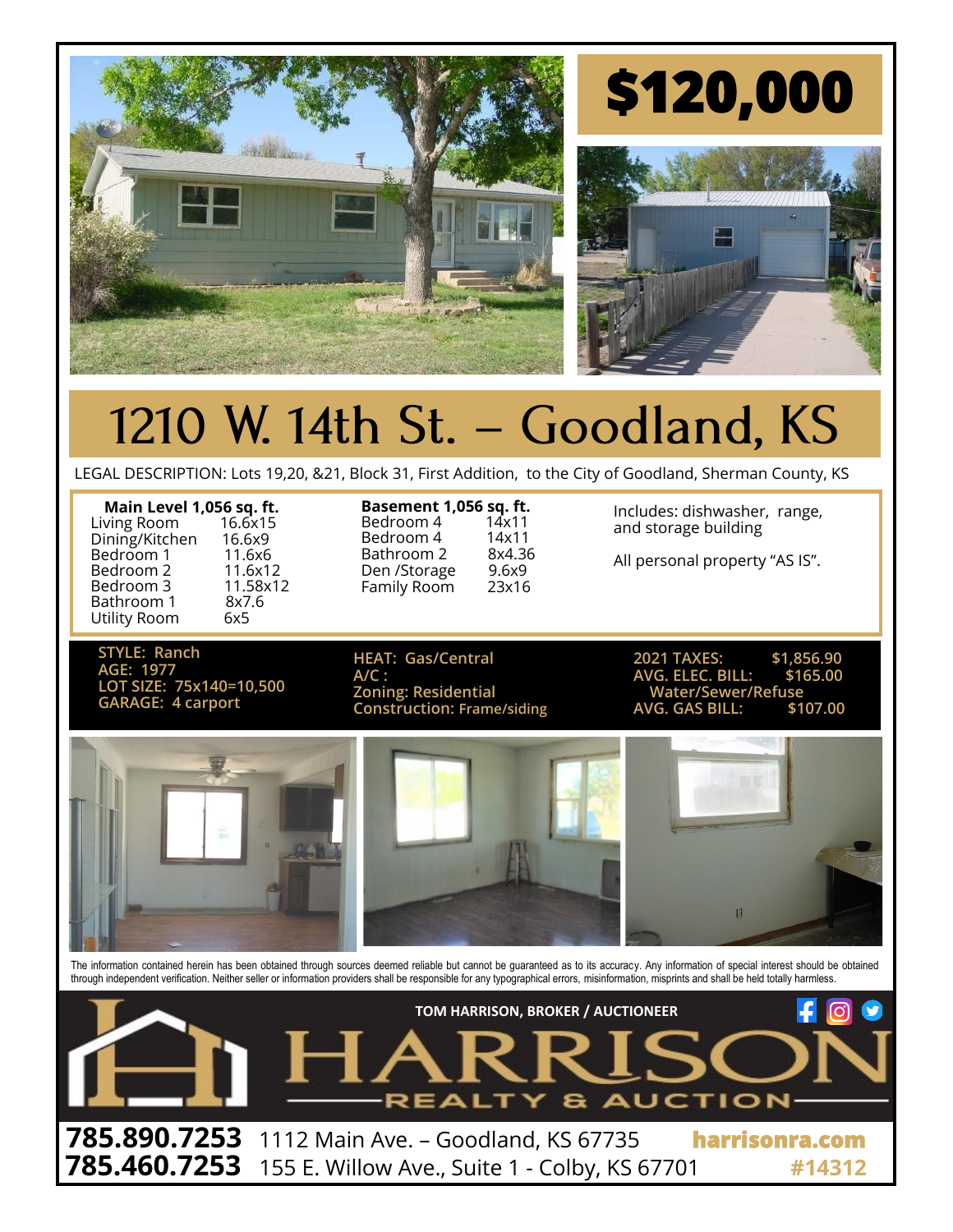

## 1210 W. 14th St. - Goodland, KS

LEGAL DESCRIPTION: Lots 19,20, &21, Block 31, First Addition, to the City of Goodland, Sherman County, KS

| Main Level 1,056 sq. ft. |          |
|--------------------------|----------|
| Living Room              | 16.6x15  |
| Dining/Kitchen           | 16.6x9   |
| Bedroom 1                | 11.6x6   |
| Bedroom 2                | 11.6x12  |
| Bedroom 3                | 11.58x12 |
| Bathroom 1               | 8x7.6    |
| Utility Room             | 6x5      |
|                          |          |

**Basement 1,056 sq. ft.**<br>Bedroom 4 14x11 Bedroom 4 14x11<br>Bedroom 4 14x11 Bedroom 4 14x11<br>Bathroom 2 8x4.36 Bathroom 2 8x4.36<br>Den /Storage 9.6x9 Den /Storage Family Room 23x16

Includes: dishwasher, range, and storage building

All personal property "AS IS".

**STYLE: Ranch AGE: 1977 LOT SIZE: 75x140=10,500**

**A/C : AVG. ELEC. BILL: \$165.00 GARAGE:** 4 carport *Construction: Frame/siding Construction: Frame/siding* 

**HEAT: Gas/Central 2021 TAXES: \$1,856.90 Zoning: Water/Sewer/Refuse**<br>AVG. GAS BILL: \$107.00



The information contained herein has been obtained through sources deemed reliable but cannot be guaranteed as to its accuracy. Any information of special interest should be obtained through independent verification. Neither seller or information providers shall be responsible for any typographical errors, misinformation, misprints and shall be held totally harmless.